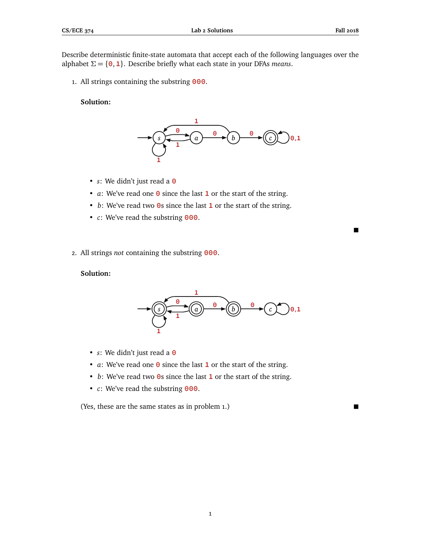Describe deterministic finite-state automata that accept each of the following languages over the alphabet *Σ* = {**0**,**1**}. Describe briefly what each state in your DFAs *means*.

1. All strings containing the substring **000**.

## **Solution:**



- *s*: We didn't just read a **0**
- *a*: We've read one **0** since the last **1** or the start of the string.
- *b*: We've read two **0**s since the last **1** or the start of the string.
- *c*: We've read the substring **000**.
- 2. All strings *not* containing the substring **000**.

## **Solution:**



- *s*: We didn't just read a **0**
- *a*: We've read one **0** since the last **1** or the start of the string.
- *b*: We've read two **0**s since the last **1** or the start of the string.
- *c*: We've read the substring **000**.

(Yes, these are the same states as in problem 1.)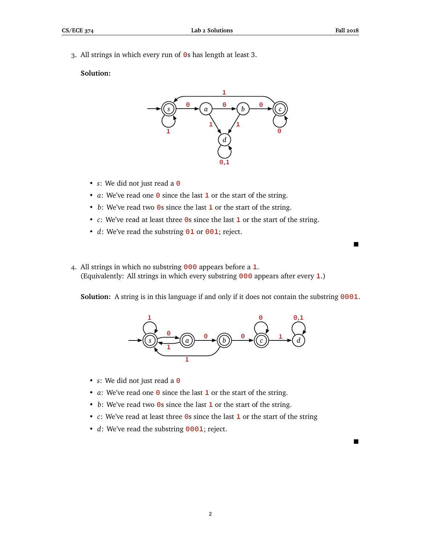$\blacksquare$ 

3. All strings in which every run of **0**s has length at least 3.

## **Solution:**



- *s*: We did not just read a **0**
- *a*: We've read one **0** since the last **1** or the start of the string.
- *b*: We've read two **0**s since the last **1** or the start of the string.
- *c*: We've read at least three **0**s since the last **1** or the start of the string.
- *d*: We've read the substring **01** or **001**; reject.
- 4. All strings in which no substring **000** appears before a **1**. (Equivalently: All strings in which every substring **000** appears after every **1**.)

**Solution:** A string is in this language if and only if it does not contain the substring **0001**.



- *s*: We did not just read a **0**
- *a*: We've read one **0** since the last **1** or the start of the string.
- *b*: We've read two **0**s since the last **1** or the start of the string.
- *c*: We've read at least three **0**s since the last **1** or the start of the string
- *d*: We've read the substring **0001**; reject.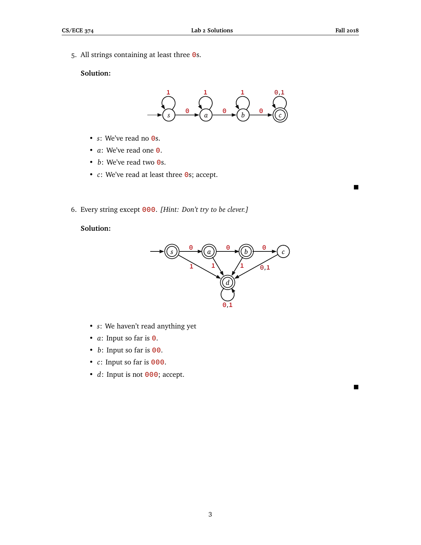$\blacksquare$ 

5. All strings containing at least three **0**s.

# **Solution:**



- *s*: We've read no **0**s.
- *a*: We've read one **0**.
- *b*: We've read two **0**s.
- *c*: We've read at least three **0**s; accept.
- 6. Every string except **000**. *[Hint: Don't try to be clever.]*

# **Solution:**



- *s*: We haven't read anything yet
- *a*: Input so far is **0**.
- *b*: Input so far is **00**.
- *c*: Input so far is **000**.
- *d*: Input is not **000**; accept.

3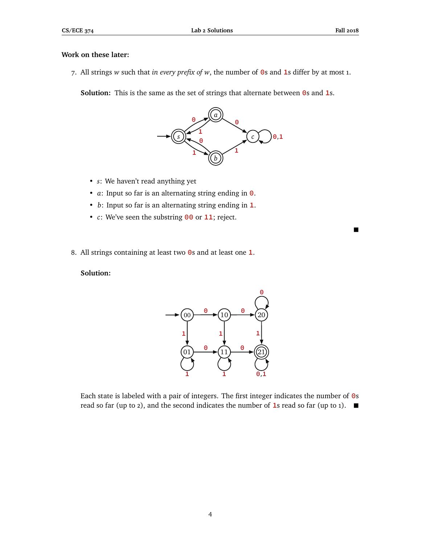## **Work on these later:**

7. All strings *w* such that *in every prefix of w*, the number of **0**s and **1**s differ by at most 1.

**Solution:** This is the same as the set of strings that alternate between **0**s and **1**s.



- *s*: We haven't read anything yet
- *a*: Input so far is an alternating string ending in **0**.
- *b*: Input so far is an alternating string ending in **1**.
- *c*: We've seen the substring **00** or **11**; reject.
- 8. All strings containing at least two **0**s and at least one **1**.

## **Solution:**



Each state is labeled with a pair of integers. The first integer indicates the number of **0**s read so far (up to 2), and the second indicates the number of **1**s read so far (up to 1).  $\blacksquare$